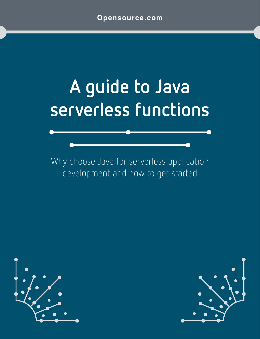# **A guide to Java serverless functions**

Why choose Java for serverless application development and how to get started



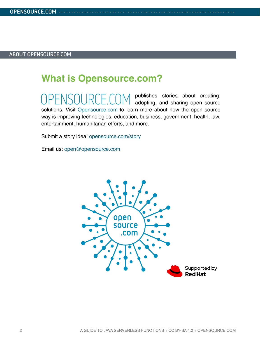### **What is [Opensource.com?](http://www.opensource.com)**

**OPENSOURCES** stories about creating, adopting, and sharing open source solutions. Visit [Opensource.com](http://opensource.com) to learn more about how the open source way is improving technologies, education, business, government, health, law, entertainment, humanitarian efforts, and more.

Submit a story idea: [opensource.com/story](https://opensource.com/story)

Email us: [open@opensource.com](mailto:open%40opensource.com?subject=)

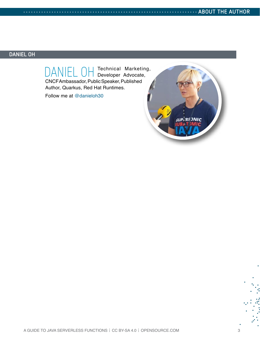### **DANIEL OH**

DANIEL OH Technical Marketing, CNCF Ambassador, Public Speaker, Published Author, Quarkus, Red Hat Runtimes.

Follow me at [@danieloh30](https://twitter.com/danieloh30)

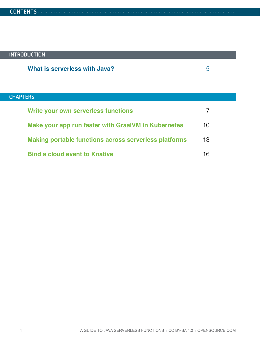### **INTRODUCTION**

### **CHAPTERS**

| <b>Write your own serverless functions</b>                   |     |
|--------------------------------------------------------------|-----|
| Make your app run faster with Graal VM in Kubernetes         | 1() |
| <b>Making portable functions across serverless platforms</b> | 13  |
| <b>Bind a cloud event to Knative</b>                         | 16  |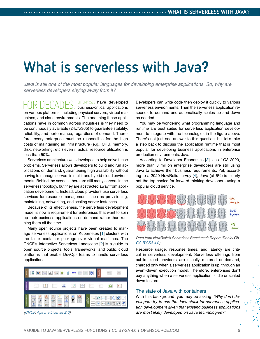### <span id="page-4-0"></span>**What is serverless with Java?**

*Java is still one of the most popular languages for developing enterprise applications. So, why are serverless developers shying away from it?*

FOR DECADES, ENTERPRISES have developed on various platforms, including physical servers, virtual machines, and cloud environments. The one thing these applications have in common across industries is they need to be continuously available (24x7x365) to guarantee stability, reliability, and performance, regardless of demand. Therefore, every enterprise must be responsible for the high costs of maintaining an infrastructure (e.g., CPU, memory, disk, networking, etc.) even if actual resource utilization is less than 50%.

Serverless architecture was developed to help solve these problems. Serverless allows developers to build and run applications on demand, guaranteeing high availability without having to manage servers in multi- and hybrid-cloud environments. Behind the scenes, there are still many servers in the serverless topology, but they are abstracted away from application development. Instead, cloud providers use serverless services for resource management, such as provisioning, maintaining, networking, and scaling server instances.

Because of its effectiveness, the serverless development model is now a requirement for enterprises that want to spin up their business applications on demand rather than running them all the time.

Many open source projects have been created to manage serverless applications on Kubernetes [[1\]](https://opensource.com/article/19/6/reasons-kubernetes) clusters with the Linux container package over virtual machines. The CNCF's Interactive Serverless Landscape [[2\]](https://landscape.cncf.io/serverless?zoom=150) is a guide to open source projects, tools, frameworks, and public cloud platforms that enable DevOps teams to handle serverless applications.



*[\(CNCF,](https://landscape.cncf.io/serverless?zoom=150) [Apache License 2.0\)](https://github.com/cncf/landscape/blob/master/LICENSE)*

Developers can write code then deploy it quickly to various serverless environments. Then the serverless application responds to demand and automatically scales up and down as needed.

You may be wondering what programming language and runtime are best suited for serverless application development to integrate with the technologies in the figure above. There's not just one answer to this question, but let's take a step back to discuss the application runtime that is most popular for developing business applications in enterprise production environments: Java.

According to Developer Economics [[3\]](https://developereconomics.com/), as of Q3 2020, more than 8 million enterprise developers are still using Java to achieve their business requirements. Yet, according to a 2020 NewRelic survey [\[4](https://newrelic.com/resources/ebooks/serverless-benchmark-report-aws-lambda-2020)], Java (at 6%) is clearly not the top choice for forward-thinking developers using a popular cloud service.



*Data from NewRelic's Serverless Benchmark Report (Daniel Oh, [CC BY-SA 4.0\)](https://creativecommons.org/licenses/by-sa/4.0/)*

Resource usage, response times, and latency are critical in serverless development. Serverless offerings from public cloud providers are usually metered on-demand, charged only when a serverless application is up, through an event-driven execution model. Therefore, enterprises don't pay anything when a serverless application is idle or scaled down to zero.

#### The state of Java with containers

With this background, you may be asking: "*Why don't developers try to use the Java stack for serverless application development given that existing business applications are most likely developed on Java technologies?* "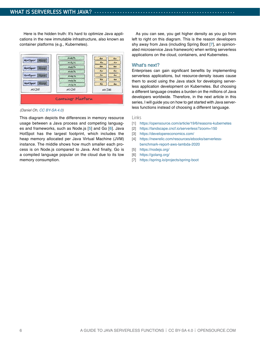Here is the hidden truth: It's hard to optimize Java applications in the new immutable infrastructure, also known as container platforms (e.g., Kubernetes).



*(Daniel Oh, [CC BY-SA 4.0\)](https://creativecommons.org/licenses/by-sa/4.0/)*

This diagram depicts the differences in memory resource usage between a Java process and competing languages and frameworks, such as Node.js [[5](https://nodejs.org/)] and Go [\[6\]](https://golang.org/). Java HotSpot has the largest footprint, which includes the heap memory allocated per Java Virtual Machine (JVM) instance. The middle shows how much smaller each process is on Node.js compared to Java. And finally, Go is a compiled language popular on the cloud due to its low memory consumption.

As you can see, you get higher density as you go from left to right on this diagram. This is the reason developers shy away from Java (including Spring Boot [\[7\]](https://spring.io/projects/spring-boot), an opinionated microservice Java framework) when writing serverless applications on the cloud, containers, and Kubernetes.

#### What's next?

Enterprises can gain significant benefits by implementing serverless applications, but resource-density issues cause them to avoid using the Java stack for developing serverless application development on Kubernetes. But choosing a different language creates a burden on the millions of Java developers worldwide. Therefore, in the next article in this series, I will guide you on how to get started with Java serverless functions instead of choosing a different language.

- [1] <https://opensource.com/article/19/6/reasons-kubernetes>
- [2] <https://landscape.cncf.io/serverless?zoom=150>
- [3] <https://developereconomics.com/>
- [4] [https://newrelic.com/resources/ebooks/serverless](https://newrelic.com/resources/ebooks/serverless-benchmark-report-aws-lambda-2020)[benchmark-report-aws-lambda-2020](https://newrelic.com/resources/ebooks/serverless-benchmark-report-aws-lambda-2020)
- [5] <https://nodejs.org/>
- [6] <https://golang.org/>
- [7] <https://spring.io/projects/spring-boot>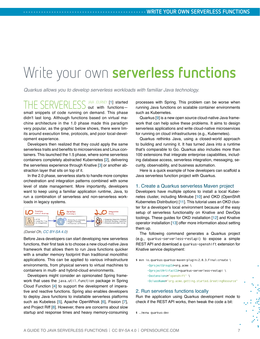## <span id="page-6-0"></span>Write your own **serverless functions**

*Quarkus allows you to develop serverless workloads with familiar Java technology.*

THE SERVERLESS JAVA JOURNEY [[1\]](https://opensource.com/article/21/5/what-serverless-java) started out with functions small snippets of code running on demand. This phase didn't last long. Although functions based on virtual machine architecture in the 1.0 phase made this paradigm very popular, as the graphic below shows, there were limits around execution time, protocols, and poor local-development experience.

Developers then realized that they could apply the same serverless traits and benefits to microservices and Linux containers. This launched the 1.5 phase, where some serverless containers completely abstracted Kubernetes [[2\]](https://opensource.com/article/19/6/reasons-kubernetes), delivering the serverless experience through Knative [\[3](https://cloud.google.com/knative/)] or another abstraction layer that sits on top of it.

In the 2.0 phase, serverless starts to handle more complex orchestration and integration patterns combined with some level of state management. More importantly, developers want to keep using a familiar application runtime, Java, to run a combination of serverless and non-serverless workloads in legacy systems.



#### *(Daniel Oh, [CC BY-SA 4.0](https://creativecommons.org/licenses/by-sa/4.0/))*

Before Java developers can start developing new serverless functions, their first task is to choose a new cloud-native Java framework that allows them to run Java functions quicker with a smaller memory footprint than traditional monolithic applications. This can be applied to various infrastructure environments, from physical servers to virtual machines to containers in multi- and hybrid-cloud environments.

Developers might consider an opinionated Spring framework that uses the java.util.function package in Spring Cloud Function [\[4](https://spring.io/serverless)] to support the development of imperative and reactive functions. Spring also enables developers to deploy Java functions to installable serverless platforms such as Kubeless [\[5](https://kubeless.io/)], Apache OpenWhisk [[6\]](https://openwhisk.apache.org/), Fission [\[7](https://fission.io/)], and Project Riff [\[8](https://projectriff.io/)]. However, there are concerns about slow startup and response times and heavy memory-consuming processes with Spring. This problem can be worse when running Java functions on scalable container environments such as Kubernetes.

Quarkus [[9\]](https://quarkus.io/) is a new open source cloud-native Java framework that can help solve these problems. It aims to design serverless applications and write cloud-native microservices for running on cloud infrastructures (e.g., Kubernetes).

Quarkus rethinks Java, using a closed-world approach to building and running it. It has turned Java into a runtime that's comparable to Go. Quarkus also includes more than 100 extensions that integrate enterprise capabilities, including database access, serverless integration, messaging, security, observability, and business automation.

Here is a quick example of how developers can scaffold a Java serverless function project with Quarkus.

#### 1. Create a Quarkus serverless Maven project

Developers have multiple options to install a local Kubernetes cluster, including Minikube [[10\]](https://minikube.sigs.k8s.io/docs/start/) and OKD (OpenShift Kubernetes Distribution) [\[11](https://docs.okd.io/latest/welcome/index.html)]. This tutorial uses an OKD cluster for a developer's local environment because of the easy setup of serverless functionality on Knative and DevOps toolings. These guides for OKD installation [\[12](https://docs.okd.io/latest/installing/index.html)] and Knative operator installation [\[13](https://knative.dev/docs/install/knative-with-operators/)] offer more information about setting them up.

The following command generates a Quarkus project (e.g., quarkus-serverless-restapi) to expose a simple REST API and download a quarkus-openshift extension for Knative service deployment:

\$ mvn io.quarkus:quarkus-maven-plugin:2.0.3.Final:create \ -DprojectGroupId=org.acme \ -DprojectArtifactId=quarkus-serverless-restapi \ -Dextensions="openshift" \

-DclassName="org.acme.getting.started.GreetingResource"

#### 2. Run serverless functions locally

Run the application using Quarkus development mode to check if the REST API works, then tweak the code a bit:

\$ ./mvnw quarkus:dev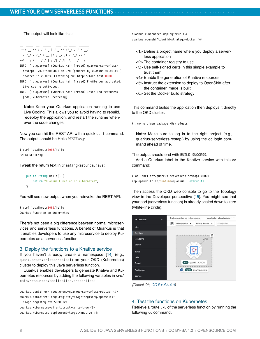The output will look like this:

\_\_ \_\_\_\_ \_\_ \_\_\_\_\_ \_\_\_ \_\_ \_\_\_\_ \_\_\_\_\_\_ --/ \_\_ \/ / / / \_ | / \_ \/ //\_/ / / / \_\_/ -/ /\_/ / /\_/ / \_\_ |/ , \_/ ,< / /\_/ /\ \ --\\_\_\_\\_\\_\_\_\_/\_/ |\_/\_/|\_/\_/|\_|\\_\_\_\_/\_\_\_/

- INFO [io.quarkus] (Quarkus Main Thread) quarkus-serverlessrestapi 1.0.0-SNAPSHOT on JVM (powered by Quarkus xx.xx.xx.) started in 2.386s. Listening on: http://localhost:8080
- INFO [io.quarkus] (Quarkus Main Thread) Profile dev activated. Live Coding activated.
- INFO [io.quarkus] (Quarkus Main Thread) Installed features: [cdi, kubernetes, resteasy]

**Note:** Keep your Quarkus application running to use Live Coding. This allows you to avoid having to rebuild, redeploy the application, and restart the runtime whenever the code changes.

Now you can hit the REST API with a quick curl command. The output should be Hello RESTEasy:

```
$ curl localhost:8080/hello
Hello RESTEasy
```
Tweak the return text in GreetingResource.java:

```
 public String hello() {
     return "Quarkus Function on Kubernetes";
 }
```
You will see new output when you reinvoke the REST API:

```
$ curl localhost:8080/hello
Quarkus Function on Kubernetes
```
There's not been a big difference between normal microservices and serverless functions. A benefit of Quarkus is that it enables developers to use any microservice to deploy Kubernetes as a serverless function.

#### 3. Deploy the functions to a Knative service

If you haven't already, create a namespace [[14\]](https://docs.okd.io/latest/applications/projects/configuring-project-creation.html) (e.g., quarkus-serverless-restapi) on your OKD (Kubernetes) cluster to deploy this Java serverless function.

Quarkus enables developers to generate Knative and Kubernetes resources by adding the following variables in src/ main/resources/application.properties:

quarkus.container-image.group=quarkus-serverless-restapi <1> quarkus.container-image.registry=image-registry.openshiftimage-registry.svc:5000 <2> quarkus.kubernetes-client.trust-certs=true <3> quarkus.kubernetes.deployment-target=knative <4>

quarkus.kubernetes.deploy=true <5> quarkus.openshift.build-strategy=docker <6>

- <1> Define a project name where you deploy a serverless application
- <2> The container registry to use
- <3> Use self-signed certs in this simple example to trust them
- <4> Enable the generation of Knative resources
- <5> Instruct the extension to deploy to OpenShift after the container image is built
- <6> Set the Docker build strategy

This command builds the application then deploys it directly to the OKD cluster:

\$ ./mvnw clean package -DskipTests

**Note:** Make sure to log in to the right project (e.g., quarkus-serverless-restapi) by using the oc login command ahead of time.

The output should end with BUILD SUCCESS.

Add a Quarkus label to the Knative service with this oc command:

\$ oc label rev/quarkus-serverless-restapi-00001 app.openshift.io/runtime=quarkus --overwrite

Then access the OKD web console to go to the Topology view in the Developer perspective [\[15](https://docs.okd.io/latest/applications/application_life_cycle_management/odc-viewing-application-composition-using-topology-view.html)]. You might see that your pod (serverless function) is already scaled down to zero (white-line circle).



*(Daniel Oh, [CC BY-SA 4.0](https://creativecommons.org/licenses/by-sa/4.0/))*

#### 4. Test the functions on Kubernetes

Retrieve a route URL of the serverless function by running the following oc command: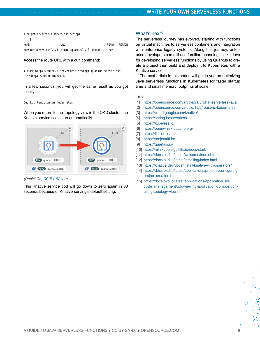| \$ oc qet rt/quarkus-serverless-restapi |                                                      |       |        |  |  |
|-----------------------------------------|------------------------------------------------------|-------|--------|--|--|
| $\lceil \dots \rceil$                   |                                                      |       |        |  |  |
| NAME                                    | URL                                                  | RFADY | RFASON |  |  |
|                                         | quarkus-serverless[] http://quarkus[].SUBDOMAIN True |       |        |  |  |

Access the route URL with a curl command:

\$ curl http://quarkus-serverless-restapi-quarkus-serverlessrestapi.SUBDOMAIN/hello

In a few seconds, you will get the same result as you got locally:

#### Quarkus Function on Kubernetes

When you return to the Topology view in the OKD cluster, the Knative service scales up automatically.



#### *(Daniel Oh, [CC BY-SA 4.0\)](https://creativecommons.org/licenses/by-sa/4.0/)*

This Knative service pod will go down to zero again in 30 seconds because of Knative serving's default setting.

#### What's next?

The serverless journey has evolved, starting with functions on virtual machines to serverless containers and integration with enterprise legacy systems. Along this journey, enterprise developers can still use familiar technologies like Java for developing serverless functions by using Quarkus to create a project then build and deploy it to Kubernetes with a Knative service.

The next article in this series will guide you on optimizing Java serverless functions in Kubernetes for faster startup time and small memory footprints at scale.

- [1] <https://opensource.com/article/21/5/what-serverless-java>
- [2] <https://opensource.com/article/19/6/reasons-kubernetes>
- [3] <https://cloud.google.com/knative/>
- [4] <https://spring.io/serverless>
- [5] <https://kubeless.io/>
- [6] <https://openwhisk.apache.org/>
- [7] <https://fission.io/>
- [8] <https://projectriff.io/>
- [9] <https://quarkus.io/>
- [10] <https://minikube.sigs.k8s.io/docs/start/>
- [11] <https://docs.okd.io/latest/welcome/index.html>
- [12] <https://docs.okd.io/latest/installing/index.html>
- [13] <https://knative.dev/docs/install/knative-with-operators/>
- [14] [https://docs.okd.io/latest/applications/projects/configuring](https://docs.okd.io/latest/applications/projects/configuring-project-creation.html)[project-creation.html](https://docs.okd.io/latest/applications/projects/configuring-project-creation.html)
- [15] [https://docs.okd.io/latest/applications/application\\_life\\_](https://docs.okd.io/latest/applications/application_life_cycle_management/odc-viewing-application-composition-using-topology-view.html) [cycle\\_management/odc-viewing-application-composition](https://docs.okd.io/latest/applications/application_life_cycle_management/odc-viewing-application-composition-using-topology-view.html)[using-topology-view.html](https://docs.okd.io/latest/applications/application_life_cycle_management/odc-viewing-application-composition-using-topology-view.html)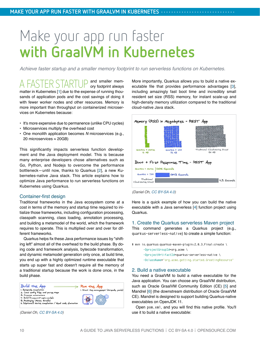## <span id="page-9-0"></span>Make your app run faster **with GraalVM in Kubernetes**

*Achieve faster startup and a smaller memory footprint to run serverless functions on Kubernetes.*

A FASTER STARTUP and smaller mem-ory footprint always matter in Kubernetes [[1\]](https://opensource.com/article/19/6/reasons-kubernetes) due to the expense of running thousands of application pods and the cost savings of doing it with fewer worker nodes and other resources. Memory is more important than throughput on containerized microservices on Kubernetes because:

- It's more expensive due to permanence (unlike CPU cycles)
- Microservices multiply the overhead cost
- One monolith application becomes *N* microservices (e.g., 20 microservices ≈ 20GB)

This significantly impacts serverless function development and the Java deployment model. This is because many enterprise developers chose alternatives such as Go, Python, and Nodejs to overcome the performance bottleneck—until now, thanks to Quarkus [\[2\]](https://quarkus.io/), a new Kubernetes-native Java stack. This article explains how to optimize Java performance to run serverless functions on Kubernetes using Quarkus.

#### Container-first design

Traditional frameworks in the Java ecosystem come at a cost in terms of the memory and startup time required to initialize those frameworks, including configuration processing, classpath scanning, class loading, annotation processing, and building a metamodel of the world, which the framework requires to operate. This is multiplied over and over for different frameworks.

Quarkus helps fix these Java performance issues by "shifting left" almost all of the overhead to the build phase. By doing code and framework analysis, bytecode transformation, and dynamic metamodel generation only once, at build time, you end up with a highly optimized runtime executable that starts up super fast and doesn't require all the memory of a traditional startup because the work is done once, in the build phase.



*(Daniel Oh, [CC BY-SA 4.0\)](https://creativecommons.org/licenses/by-sa/4.0/)*

More importantly, Quarkus allows you to build a native executable file that provides performance advantages [[3\]](https://quarkus.io/blog/runtime-performance/), including amazingly fast boot time and incredibly small resident set size (RSS) memory, for instant scale-up and high-density memory utilization compared to the traditional cloud-native Java stack.



*<sup>(</sup>Daniel Oh, [CC BY-SA 4.0](https://creativecommons.org/licenses/by-sa/4.0/))*

Here is a quick example of how you can build the native executable with a Java serverless [\[4](https://opensource.com/article/21/5/what-serverless-java)] function project using Quarkus.

#### 1. Create the Quarkus serverless Maven project

This command generates a Quarkus project (e.g., quarkus-serverless-native) to create a simple function:

```
$ mvn io.quarkus:quarkus-maven-plugin:2.0.3.Final:create \
        -DprojectGroupId=org.acme \
        -DprojectArtifactId=quarkus-serverless-native \
        -DclassName="org.acme.getting.started.GreetingResource"
```
#### 2. Build a native executable

You need a GraalVM to build a native executable for the Java application. You can choose any GraalVM distribution, such as Oracle GraalVM Community Edition (CE) [[5\]](https://www.graalvm.org/community/) and Mandrel [\[6](https://github.com/graalvm/mandrel)] (the downstream distribution of Oracle GraalVM CE). Mandrel is designed to support building Quarkus-native executables on OpenJDK 11.

Open pom.xml, and you will find this native profile. You'll use it to build a native executable: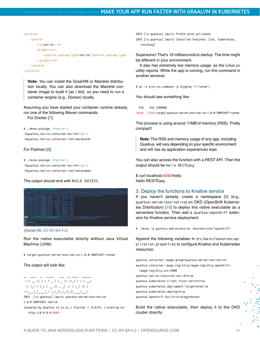```
<profiles>
     <profile>
         <id>native</id>
         <properties>
              <quarkus.package.type>native</quarkus.package.type>
         </properties>
     </profile>
</profiles>
```
**Note:** You can install the GraalVM or Mandrel distribution locally. You can also download the Mandrel container image to build it (as I did), so you need to run a container engine (e.g., Docker) locally.

Assuming you have started your container runtime already, run one of the following Maven commands.

For Docker [[7\]](https://www.docker.com/):

```
$ ./mvnw package -Pnative \
-Dquarkus.native.container-build=true \
-Dquarkus.native.container-runtime=docker
```
For Podman [[8\]](https://podman.io/):

```
$ ./mvnw package -Pnative \
-Dquarkus.native.container-build=true \
-Dquarkus.native.container-runtime=podman
```
#### The output should end with BUILD SUCCESS.



*(Daniel Oh, [CC BY-SA 4.0\)](https://creativecommons.org/licenses/by-sa/4.0/)*

Run the native executable directly without Java Virtual Machine (JVM):

\$ target/quarkus-serverless-native-1.0.0-SNAPSHOT-runner

The output will look like:

```
__ ____ __ _____ ___ __ ____ ______
 --/ __ \/ / / / _ | / _ \/ //_/ / / / __/
 -/ /_/ / /_/ / __ |/ , _/ ,< / /_/ /\ \ 
--\___\_\____/_/ |_/_/|_/_/|_|\____/___/
```

```
INFO [io.quarkus] (main) quarkus-serverless-native 
1.0.0-SNAPSHOT native
```
(powered by Quarkus xx.xx.xx.) Started in 0.019s. Listening on: http://0.0.0.0:8080

INFO [io.quarkus] (main) Profile prod activated.

INFO [io.quarkus] (main) Installed features: [cdi, kubernetes, resteasy]

Supersonic! That's *19 milliseconds* to startup. The time might be different in your environment.

It also has extremely low memory usage, as the Linux ps utility reports. While the app is running, run this command in another terminal:

\$ ps -o pid,rss,command -p \$(pgrep -f runner)

You should see something like:

```
 PID RSS COMMAND
10246 11360 target/quarkus-serverless-native-1.0.0-SNAPSHOT-runner
```
This process is using around *11MB* of memory (RSS). Pretty compact!

**Note:** The RSS and memory usage of any app, including Quarkus, will vary depending on your specific environment and will rise as application experiences load.

You can also access the function with a REST API. Then the output should be Hello RESTEasy:

\$ curl localhost:8080/hello Hello RESTEasy

#### 3. Deploy the functions to Knative service

If you haven't already, create a namespace [[9\]](https://docs.okd.io/latest/applications/projects/configuring-project-creation.html) (e.g., quarkus-serverless-native) on OKD (OpenShift Kubernetes Distribution) [\[10](https://docs.okd.io/latest/welcome/index.html)] to deploy this native executable as a serverless function. Then add a quarkus-openshift extension for Knative service deployment:

\$ ./mvnw -q quarkus:add-extension -Dextensions="openshift"

Append the following variables in src/main/resources/application.properties to configure Knative and Kubernetes resources:

quarkus.container-image.group=quarkus-serverless-native quarkus.container-image.registry=image-registry.openshiftimage-registry.svc:5000 quarkus.native.container-build=true quarkus.kubernetes-client.trust-certs=true quarkus.kubernetes.deployment-target=knative quarkus.kubernetes.deploy=true quarkus.openshift.build-strategy=docker

Build the native executable, then deploy it to the OKD cluster directly: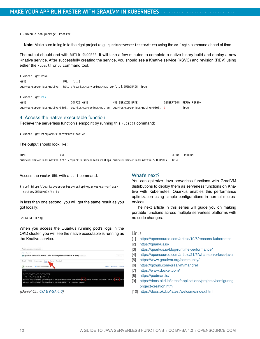#### \$ ./mvnw clean package -Pnative

**Note:** Make sure to log in to the right project (e.g., quarkus-serverless-native) using the oc login command ahead of time.

The output should end with BUILD SUCCESS. It will take a few minutes to complete a native binary build and deploy a new Knative service. After successfully creating the service, you should see a Knative service (KSVC) and revision (REV) using either the kubectl or oc command tool:

\$ kubectl get ksvc NAME URL [...] quarkus-serverless-native http://quarkus-serverless-native-[...].SUBDOMAIN True

#### \$ kubectl get rev

| <b>NAME</b> | CONFIG NAME | K8S SERVICE NAME                                                                            | GENERATION READY REASON |
|-------------|-------------|---------------------------------------------------------------------------------------------|-------------------------|
|             |             | quarkus-serverless-native-00001 quarkus-serverless-native quarkus-serverless-native-00001 1 | True                    |

#### 4. Access the native executable function

Retrieve the serverless function's endpoint by running this kubectl command:

\$ kubectl get rt/quarkus-serverless-native

The output should look like:

NAME READY REASON URL READY REASON NAME READY REASON REASON quarkus-serverless-native http://quarkus-serverless-restapi-quarkus-serverless-native.SUBDOMAIN True

Access the route URL with a curl command:

\$ curl http://quarkus-serverless-restapi-quarkus-serverlessnative.SUBDOMAIN/hello

In less than one second, you will get the same result as you got locally:

#### Hello RESTEasy

When you access the Quarkus running pod's logs in the OKD cluster, you will see the native executable is running as the Knative service.

| Project quarkus-serverliess-native -                                                                                                                                                                                                                                                                                                                                                                       |                                           |
|------------------------------------------------------------------------------------------------------------------------------------------------------------------------------------------------------------------------------------------------------------------------------------------------------------------------------------------------------------------------------------------------------------|-------------------------------------------|
| Pods i Pod details<br>@ quarkus-serverless-native-00001-deployment-5bfcf67d7b-rwhir o maning                                                                                                                                                                                                                                                                                                               |                                           |
| Environment Logs Events Terminal<br>Details<br>YAMI.                                                                                                                                                                                                                                                                                                                                                       |                                           |
| <b>GB</b> quarkus-serverless-native<br>m<br>Log streaming                                                                                                                                                                                                                                                                                                                                                  | <b>Billian 1 &amp; Download 1 C2Dopan</b> |
| A lines                                                                                                                                                                                                                                                                                                                                                                                                    |                                           |
| $-1$ $-1111 - 11 - 21111 - 1$<br>$-1111111$ = $11.3.5111111$<br>2021-05-10 10:13:07,620 INFO [io.quarkus] (main) quarkus-serverless-native 1.0.0-SWASHOT native (powered by Quarkus 1.13.4.Final) started in 0.010s. Liste<br>2021-05-18 18:13:07,620 IMFO [16.quarkus] (main) Profile prod activated.<br>2021-05-18 18:13:07.620 INFO (in.quarkus) (main) Installed features: (cdi, kubernetes, resteasy) |                                           |

*(Daniel Oh, [CC BY-SA 4.0\)](https://creativecommons.org/licenses/by-sa/4.0/)*

#### What's next?

You can optimize Java serverless functions with GraalVM distributions to deploy them as serverless functions on Knative with Kubernetes. Quarkus enables this performance optimization using simple configurations in normal microservices.

The next article in this series will guide you on making portable functions across multiple serverless platforms with no code changes.

- [1] <https://opensource.com/article/19/6/reasons-kubernetes>
- [2] <https://quarkus.io/>
- [3] <https://quarkus.io/blog/runtime-performance/>
- [4] <https://opensource.com/article/21/5/what-serverless-java>
- [5] <https://www.graalvm.org/community/>
- [6] <https://github.com/graalvm/mandrel>
- [7] <https://www.docker.com/>
- [8] <https://podman.io/>
- [9] [https://docs.okd.io/latest/applications/projects/configuring](https://docs.okd.io/latest/applications/projects/configuring-project-creation.html)[project-creation.html](https://docs.okd.io/latest/applications/projects/configuring-project-creation.html)
- [10] <https://docs.okd.io/latest/welcome/index.html>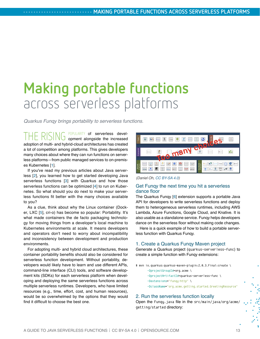## <span id="page-12-0"></span>**Making portable functions** across serverless platforms

*Quarkus Funqy brings portability to serverless functions.*

THE RISING POPULARITY of serverless devel-opment alongside the increased adoption of multi- and hybrid-cloud architectures has created a lot of competition among platforms. This gives developers many choices about where they can run functions on serverless platforms—from public managed services to on-premises Kubernetes [\[1](https://opensource.com/article/19/6/reasons-kubernetes)].

If you've read my previous articles about Java serverless [[2\]](https://opensource.com/article/21/5/what-serverless-java), you learned how to get started developing Java serverless functions [[3\]](https://opensource.com/article/21/6/java-serverless-functions) with Quarkus and how those serverless functions can be optimized [[4](https://opensource.com/article/21/6/java-serverless-functions-kubernetes)] to run on Kubernetes. So what should you do next to make your serverless functions fit better with the many choices available to you?

As a clue, think about why the Linux container (Docker, LXC [\[5\]](https://www.redhat.com/sysadmin/exploring-containers-lxc), cri-o) has become so popular: Portability. It's what made containers the de facto packaging technology for moving things from a developer's local machine to Kubernetes environments at scale. It means developers and operators don't need to worry about incompatibility and inconsistency between development and production environments.

For adopting multi- and hybrid cloud architectures, these container portability benefits should also be considered for serverless function development. Without portability, developers would likely have to learn and use different APIs, command-line interface (CLI) tools, and software development kits (SDKs) for each serverless platform when developing and deploying the same serverless functions across multiple serverless runtimes. Developers, who have limited resources (e.g., time, effort, cost, and human resources), would be so overwhelmed by the options that they would find it difficult to choose the best one.



*(Daniel Oh, [CC BY-SA 4.0](https://creativecommons.org/licenses/by-sa/4.0/))*

#### Get Funqy the next time you hit a serverless dance floor

The Quarkus Funqy [[6\]](https://quarkus.io/guides/funqy) extension supports a portable Java API for developers to write serverless functions and deploy them to heterogeneous serverless runtimes, including AWS Lambda, Azure Functions, Google Cloud, and Knative. It is also usable as a standalone service. Funqy helps developers dance on the serverless floor without making code changes.

Here is a quick example of how to build a portable serverless function with Quarkus Funqy.

#### 1. Create a Quarkus Funqy Maven project

Generate a Quarkus project (quarkus-serverless-func) to create a simple function with Funqy extensions:

\$ mvn io.quarkus:quarkus-maven-plugin:2.0.3.Final:create \

- -DprojectGroupId=org.acme \
- -DprojectArtifactId=quarkus-serverless-func \
- -Dextensions="funqy-http" \
- -DclassName="org.acme.getting.started.GreetingResource"

#### 2. Run the serverless function locally

Open the Funqy.java file in the src/main/java/org/acme/ getting/started directory: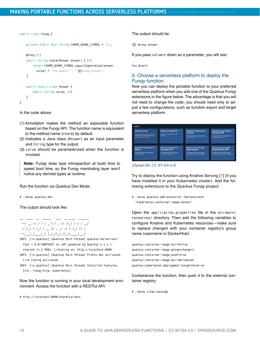```
public class Funqy {
```
private static final String CHARM\_QUARK\_SYMBOL = "c";

```
 @Funq (1)
 public String charm(Answer answer) { (2)
    return CHARM_QUARK_SYMBOL.equalsIgnoreCase(answer.
      value) ? "You Quark!" : "We Wrong answer";
 }
 public static class Answer {
    public String value; (3)
 }
```
In the code above:

}

- (1) Annotation makes the method an exposable function based on the Funqy API. The function name is equivalent to the method name (charm) by default.
- (2) Indicates a Java class (Answer) as an input parameter and String type for the output.
- (3) value should be parameterized when the function is invoked.

**Note:** Funqy does type introspection at build time to speed boot time, so the Funqy marshaling layer won't notice any derived types at runtime.

Run the function via Quarkus Dev Mode:

\$ ./mvnw quarkus:dev

The output should look like:



- INFO [io.quarkus] (Quarkus Main Thread) quarkus-serverlessfunc 1.0.0-SNAPSHOT on JVM (powered by Quarkus x.x.x.) started in 2.908s. Listening on: http://localhost:8080
- INFO [io.quarkus] (Quarkus Main Thread) Profile dev activated. Live Coding activated.
- INFO [io.quarkus] (Quarkus Main Thread) Installed features: [cdi, funqy-http, kubernetes]

Now the function is running in your local development environment. Access the function with a RESTful API:

\$ http://localhost:8080/charm?value=s

The output should be:

**W** Wrong answer

If you pass value=c down as a parameter, you will see:

You Quark!

#### 3. Choose a serverless platform to deploy the Funqy function

Now you can deploy the portable function to your preferred serverless platform when you add one of the Quarkus Funqy extensions in the figure below. The advantage is that you will not need to change the code; you should need only to adjust a few configurations, such as function export and target serverless platform.

| <b>Quarkus Fungy</b><br>This guide explains basics of the Funge<br>framework, a simple portable cross-<br>provider cloud function APL | <b>Quarkus Fungy HTTP</b><br>This guide explains Fungy's HTTP.<br>binding. | <b>Quarkus Fungy Amazon</b><br>Lambdas<br>This guide explains Funcy's Amazon<br>Lambda binding | <b>Quarkus Fungy Amazon</b><br><b>Lambdas HTTP</b><br>This guide explains Fungy's Amazon<br>Lambda HTTP binding |
|---------------------------------------------------------------------------------------------------------------------------------------|----------------------------------------------------------------------------|------------------------------------------------------------------------------------------------|-----------------------------------------------------------------------------------------------------------------|
| <b>Quarkus Fungy Knative</b>                                                                                                          | <b>Quarkus Fungy Azure</b>                                                 | <b>Quarkus Fungy Google</b>                                                                    | <b>Quarkus Fungy Google</b>                                                                                     |
| <b>Events</b>                                                                                                                         | <b>Functions HTTP</b>                                                      | <b>Cloud Platform</b>                                                                          | <b>Cloud Platform HTTP</b>                                                                                      |
| This guide explains Fungy's Knative                                                                                                   | This guide explains Fungy's Azure                                          | This guide explains Fungy's Google                                                             | This guide explains Fungy's Google                                                                              |
| <b>Events binding</b>                                                                                                                 | <b>Functions HTTP binding</b>                                              | Cloud Platform Functions binding.                                                              | Cloud Platform Functions HTTP binding.                                                                          |

*(Daniel Oh, [CC BY-SA 4.0](https://creativecommons.org/licenses/by-sa/4.0/))*

Try to deploy the function using Knative Serving [\[7](https://knative.dev/docs/serving/)] (if you have installed it in your Kubernetes cluster). Add the following extensions to the Quarkus Funqy project:

\$ ./mvnw quarkus:add-extension -Dextensions= "kubernetes,container-image-docker"

Open the application.properties file in the src/main/ resources/ directory. Then add the following variables to configure Knative and Kubernetes resources—make sure to replace changeit with your container registry's group name (username in DockerHub):

quarkus.container-image.build=true quarkus.container-image.group=changeit quarkus.container-image.push=true quarkus.container-image.builder=docker quarkus.kubernetes.deployment-target=knative

Containerize the function, then push it to the external container registry:

\$ ./mvnw clean package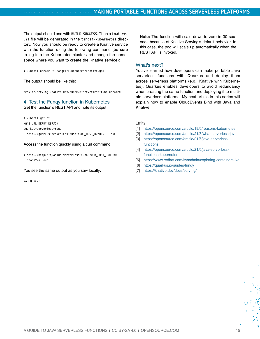The output should end with BUILD SUCCESS. Then a knative. yml file will be generated in the target/kubernetes directory. Now you should be ready to create a Knative service with the function using the following command (be sure to log into the Kubernetes cluster and change the namespace where you want to create the Knative service):

\$ kubectl create -f target/kubernetes/knative.yml

The output should be like this:

service.serving.knative.dev/quarkus-serverless-func created

#### 4. Test the Funqy function in Kubernetes

Get the function's REST API and note its output:

\$ kubectl get rt

NAME URL READY REASON

quarkus-serverless-func

http://quarkus-serverless-func-YOUR\_HOST\_DOMAIN True

Access the function quickly using a curl command:

\$ http://http://quarkus-serverless-func-YOUR\_HOST\_DOMAIN/ charm?value=c

You see the same output as you saw locally:

You Quark!

**Note:** The function will scale down to zero in 30 seconds because of Knative Serving's default behavior. In this case, the pod will scale up automatically when the REST API is invoked.

#### What's next?

You've learned how developers can make portable Java serverless functions with Quarkus and deploy them across serverless platforms (e.g., Knative with Kubernetes). Quarkus enables developers to avoid redundancy when creating the same function and deploying it to multiple serverless platforms. My next article in this series will explain how to enable CloudEvents Bind with Java and Knative.

- [1] <https://opensource.com/article/19/6/reasons-kubernetes>
- [2] <https://opensource.com/article/21/5/what-serverless-java>
- [3] [https://opensource.com/article/21/6/java-serverless](https://opensource.com/article/21/6/java-serverless-functions)[functions](https://opensource.com/article/21/6/java-serverless-functions)
- [4] [https://opensource.com/article/21/6/java-serverless](https://opensource.com/article/21/6/java-serverless-functions-kubernetes)[functions-kubernetes](https://opensource.com/article/21/6/java-serverless-functions-kubernetes)
- [5] <https://www.redhat.com/sysadmin/exploring-containers-lxc>
- [6] <https://quarkus.io/guides/funqy>
- [7] <https://knative.dev/docs/serving/>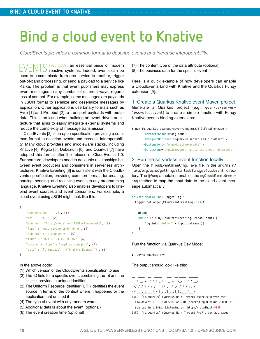## <span id="page-15-0"></span>**Bind a cloud event to Knative**

*CloudEvents provides a common format to describe events and increase interoperability.*

EVENTS HAVE BECOME an essential piece of modern<br>  $E$ VENTS reactive systems. Indeed, events can be used to communicate from one service to another, trigger out-of-band processing, or send a payload to a service like Kafka. The problem is that event publishers may express event messages in any number of different ways, regardless of content. For example, some messages are payloads in JSON format to serialize and deserialize messages by application. Other applications use binary formats such as Avro [\[1\]](https://avro.apache.org/) and Protobuf [\[2](https://developers.google.com/protocol-buffers)] to transport payloads with metadata. This is an issue when building an event-driven architecture that aims to easily integrate external systems and reduce the complexity of message transmission.

CloudEvents [\[3](https://cloudevents.io/)] is an open specification providing a common format to describe events and increase interoperability. Many cloud providers and middleware stacks, including Knative [\[4](https://knative.dev/)], Kogito [\[5](https://kogito.kie.org/)], Debezium [\[6](https://debezium.io/)], and Quarkus [[7\]](https://quarkus.io/) have adopted this format after the release of CloudEvents 1.0. Furthermore, developers need to decouple relationships between event producers and consumers in serverless architectures. Knative Eventing [[8\]](https://knative.dev/docs/eventing/) is consistent with the CloudEvents specification, providing common formats for creating, parsing, sending, and receiving events in any programming language. Knative Eventing also enables developers to latebind event sources and event consumers. For example, a cloud event using JSON might look like this:

```
{
     "specversion" : "1.0", (1)
    "id" : "11111", (2)
     "source" : "http://localhost:8080/cloudevents", (3)
     "type" : "knative-events-binding", (4)
     "subject" : "cloudevents", (5)
     "time" : "2021-06-04T16:00:00Z", (6)
     "datacontenttype" : "application/json", (7)
     "data" : "{\"message\": \"Knative Events\"}", (8)
```
}

```
In the above code:
```
- (1) Which version of the CloudEvents specification to use
- (2) The ID field for a specific event; combining the id and the source provides a unique identifier
- (3) The Uniform Resource Identifier (URI) identifies the event source in terms of the context where it happened or the application that emitted it
- (4) The type of event with any random words
- (5) Additional details about the event (optional)
- (6) The event creation time (optional)

(7) The content type of the data attribute (optional) (8) The business data for the specific event

Here is a quick example of how developers can enable a CloudEvents bind with Knative and the Quarkus Funqy extension [[9](https://opensource.com/article/21/6/quarkus-funqy)].

1. Create a Quarkus Knative event Maven project Generate a Quarkus project (e.g., quarkus-serverless-cloudevent) to create a simple function with Funqy Knative events binding extensions:

```
$ mvn io.quarkus:quarkus-maven-plugin:2.0.3.Final:create \
       -DprojectGroupId=org.acme \
       -DprojectArtifactId=quarkus-serverless-cloudevent \
        -Dextensions="funqy-knative-events" \
       -DclassName="org.acme.getting.started.GreetingResource"
```
#### 2. Run the serverless event function locally

Open the CloudEventGreeting.java file in the src/main/ java/org/acme/getting/started/funqy/cloudevent directory. The @funq annotation enables the myCloudEventGreeting method to map the input data to the cloud event message automatically:

```
private static final Logger log = 
  Logger.getLogger(CloudEventGreeting.class);
     @Funq
     public void myCloudEventGreeting(Person input) {
         log.info("Hello " + input.getName());
     }
}
```
Run the function via Quarkus Dev Mode:

\$ ./mvnw quarkus:dev

The output should look like this:

```
\_ \_ \_ \_ \_ \_ \_ \_ \_ \_ --/ __ \/ / / / _ | / _ \/ //_/ / / / __/
 -/ /_/ / /_/ / __ |/ , _/ ,< / /_/ /\ \ 
--\___\_\____/_/ |_/_/|_/_/|_|\____/___/
```

```
INFO [io.quarkus] (Quarkus Main Thread) quarkus-serverless-
 cloudevent 1.0.0-SNAPSHOT on JVM (powered by Quarkus 2.0.0.CR3) 
  started in 1.546s. Listening on: http://localhost:8080
INFO [io.quarkus] (Quarkus Main Thread) Profile dev activated.
```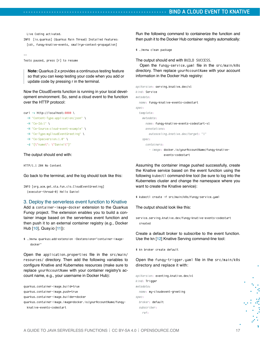Live Coding activated.

INFO [io.quarkus] (Quarkus Main Thread) Installed features: [cdi, funqy-knative-events, smallrye-context-propagation]

```
--
Tests paused, press [r] to resume
```
**Note:** Quarkus 2.x provides a continuous testing feature so that you can keep testing your code when you add or update code by pressing r in the terminal.

Now the CloudEvents function is running in your local development environment. So, send a cloud event to the function over the HTTP protocol:



#### The output should end with:

HTTP/1.1 204 No Content

Go back to the terminal, and the log should look like this:

INFO [org.acm.get.sta.fun.clo.CloudEventGreeting] (executor-thread-0) Hello Daniel

#### 3. Deploy the serverless event function to Knative

Add a container-image-docker extension to the Quarkus Funqy project. The extension enables you to build a container image based on the serverless event function and then push it to an external container registry (e.g., Docker Hub [[10](https://hub.docker.com/)], Quay.io [[11\]](https://quay.io/)):

\$ ./mvnw quarkus:add-extension -Dextensions="container-imagedocker"

Open the application.properties file in the src/main/ resources/ directory. Then add the following variables to configure Knative and Kubernetes resources (make sure to replace yourAccountName with your container registry's account name, e.g., your username in Docker Hub):

quarkus.container-image.build=true quarkus.container-image.push=true quarkus.container-image.builder=docker quarkus.container-image.image=docker.io/yourAccountName/funqyknative-events-codestart

Run the following command to containerize the function and then push it to the Docker Hub container registry automatically:

```
$ ./mvnw clean package
```
The output should end with BUILD SUCCESS.

Open the funqy-service.yaml file in the src/main/k8s directory. Then replace yourAccountName with your account information in the Docker Hub registry:

```
apiVersion: serving.knative.dev/v1
kind: Service
metadata:
   name: funqy-knative-events-codestart
spec:
   template:
     metadata:
       name: funqy-knative-events-codestart-v1
       annotations:
         autoscaling.knative.dev/target: "1"
     spec:
       containers:
         - image: docker.io/yourAccountName/funqy-knative-
                 events-codestart
```
Assuming the container image pushed successfully, create the Knative service based on the event function using the following kubect I command-line tool (be sure to log into the Kubernetes cluster and change the namespace where you want to create the Knative service):

\$ kubectl create -f src/main/k8s/funqy-service.yaml

The output should look like this:

```
service.serving.knative.dev/funqy-knative-events-codestart 
 created
```
Create a default broker to subscribe to the event function. Use the kn [[12\]](https://knative.dev/docs/client/install-kn/) Knative Serving command-line tool:

\$ kn broker create default

Open the funqy-trigger.yaml file in the src/main/k8s directory and replace it with:

```
apiVersion: eventing.knative.dev/v1
kind: Trigger
metadata:
   name: my-cloudevent-greeting
spec:
   broker: default
   subscriber:
     ref:
```
š.